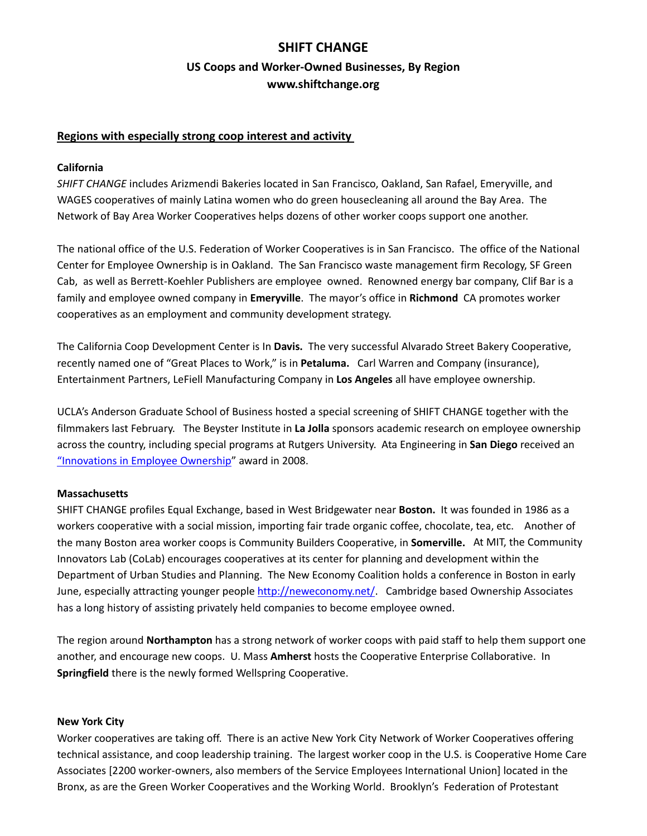# **SHIFT CHANGE US Coops and Worker‐Owned Businesses, By Region www.shiftchange.org**

### **Regions with especially strong coop interest and activity**

#### **California**

*SHIFT CHANGE* includes Arizmendi Bakeries located in San Francisco, Oakland, San Rafael, Emeryville, and WAGES cooperatives of mainly Latina women who do green housecleaning all around the Bay Area. The Network of Bay Area Worker Cooperatives helps dozens of other worker coops support one another.

The national office of the U.S. Federation of Worker Cooperatives is in San Francisco. The office of the National Center for Employee Ownership is in Oakland. The San Francisco waste management firm Recology, SF Green Cab, as well as Berrett‐Koehler Publishers are employee owned. Renowned energy bar company, Clif Bar is a family and employee owned company in **Emeryville**. The mayor's office in **Richmond** CA promotes worker cooperatives as an employment and community development strategy.

The California Coop Development Center is In **Davis.** The very successful Alvarado Street Bakery Cooperative, recently named one of "Great Places to Work," is in **Petaluma.**  Carl Warren and Company (insurance), Entertainment Partners, LeFiell Manufacturing Company in **Los Angeles** all have employee ownership.

UCLA's Anderson Graduate School of Business hosted a special screening of SHIFT CHANGE together with the filmmakers last February. The Beyster Institute in **La Jolla** sponsors academic research on employee ownership across the country, including special programs at Rutgers University. Ata Engineering in **San Diego** received an " Innovations in Employee Ownership" award in 2008.

### **Massachusetts**

SHIFT CHANGE profiles Equal Exchange, based in West Bridgewater near **Boston.** It was founded in 1986 as a workers cooperative with a social mission, importing fair trade organic coffee, chocolate, tea, etc. Another of the many Boston area worker coops is Community Builders Cooperative, in **Somerville.**  At MIT, the Community Innovators Lab (CoLab) encourages cooperatives at its center for planning and development within the Department of Urban Studies and Planning. The New Economy Coalition holds a conference in Boston in early June, especially attracting younger people http://neweconomy.net/. Cambridge based Ownership Associates has a long history of assisting privately held companies to become employee owned.

The region around **Northampton** has a strong network of worker coops with paid staff to help them support one another, and encourage new coops. U. Mass **Amherst** hosts the Cooperative Enterprise Collaborative. In **Springfield** there is the newly formed Wellspring Cooperative.

#### **New York City**

Worker cooperatives are taking off. There is an active New York City Network of Worker Cooperatives offering technical assistance, and coop leadership training. The largest worker coop in the U.S. is Cooperative Home Care Associates [2200 worker‐owners, also members of the Service Employees International Union] located in the Bronx, as are the Green Worker Cooperatives and the Working World. Brooklyn's Federation of Protestant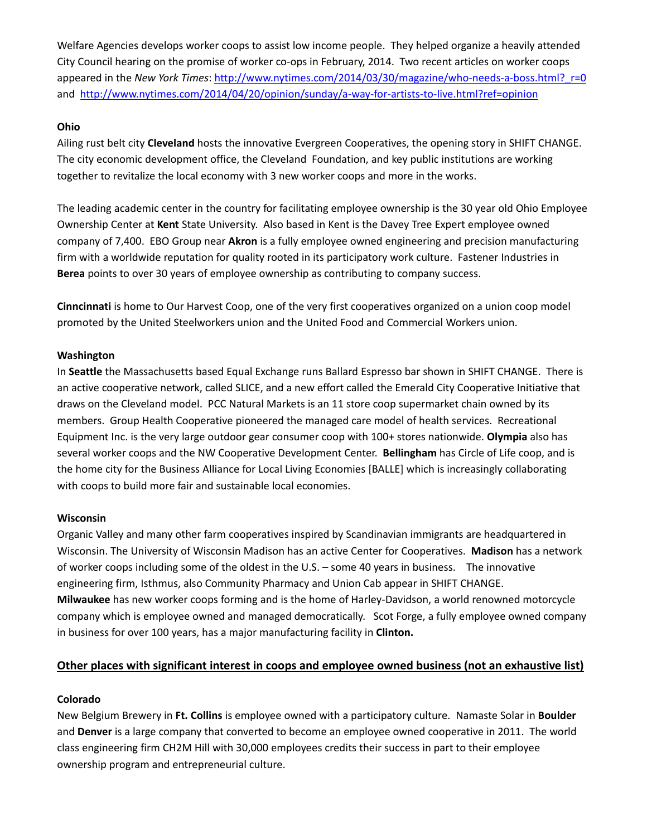Welfare Agencies develops worker coops to assist low income people. They helped organize a heavily attended City Council hearing on the promise of worker co-ops in February, 2014. Two recent articles on worker coops appeared in the *New York Times*: http://www.nytimes.com/2014/03/30/magazine/who-needs-a-boss.html? r=0 and http://www.nytimes.com/2014/04/20/opinion/sunday/a-way-for-artists-to-live.html?ref=opinion

## **Ohio**

Ailing rust belt city **Cleveland** hosts the innovative Evergreen Cooperatives, the opening story in SHIFT CHANGE. The city economic development office, the Cleveland Foundation, and key public institutions are working together to revitalize the local economy with 3 new worker coops and more in the works.

The leading academic center in the country for facilitating employee ownership is the 30 year old Ohio Employee Ownership Center at **Kent** State University. Also based in Kent is the Davey Tree Expert employee owned company of 7,400. EBO Group near **Akron** is a fully employee owned engineering and precision manufacturing firm with a worldwide reputation for quality rooted in its participatory work culture. Fastener Industries in **Berea** points to over 30 years of employee ownership as contributing to company success.

**Cinncinnati** is home to Our Harvest Coop, one of the very first cooperatives organized on a union coop model promoted by the United Steelworkers union and the United Food and Commercial Workers union.

## **Washington**

In **Seattle** the Massachusetts based Equal Exchange runs Ballard Espresso bar shown in SHIFT CHANGE. There is an active cooperative network, called SLICE, and a new effort called the Emerald City Cooperative Initiative that draws on the Cleveland model. PCC Natural Markets is an 11 store coop supermarket chain owned by its members. Group Health Cooperative pioneered the managed care model of health services. Recreational Equipment Inc. is the very large outdoor gear consumer coop with 100+ stores nationwide. **Olympia** also has several worker coops and the NW Cooperative Development Center. **Bellingham** has Circle of Life coop, and is the home city for the Business Alliance for Local Living Economies [BALLE] which is increasingly collaborating with coops to build more fair and sustainable local economies.

### **Wisconsin**

Organic Valley and many other farm cooperatives inspired by Scandinavian immigrants are headquartered in Wisconsin. The University of Wisconsin Madison has an active Center for Cooperatives. **Madison** has a network of worker coops including some of the oldest in the U.S. – some 40 years in business. The innovative engineering firm, Isthmus, also Community Pharmacy and Union Cab appear in SHIFT CHANGE. **Milwaukee** has new worker coops forming and is the home of Harley‐Davidson, a world renowned motorcycle company which is employee owned and managed democratically. Scot Forge, a fully employee owned company in business for over 100 years, has a major manufacturing facility in **Clinton.**

## **Other places with significant interest in coops and employee owned business (not an exhaustive list)**

### **Colorado**

New Belgium Brewery in **Ft. Collins** is employee owned with a participatory culture. Namaste Solar in **Boulder** and **Denver** is a large company that converted to become an employee owned cooperative in 2011. The world class engineering firm CH2M Hill with 30,000 employees credits their success in part to their employee ownership program and entrepreneurial culture.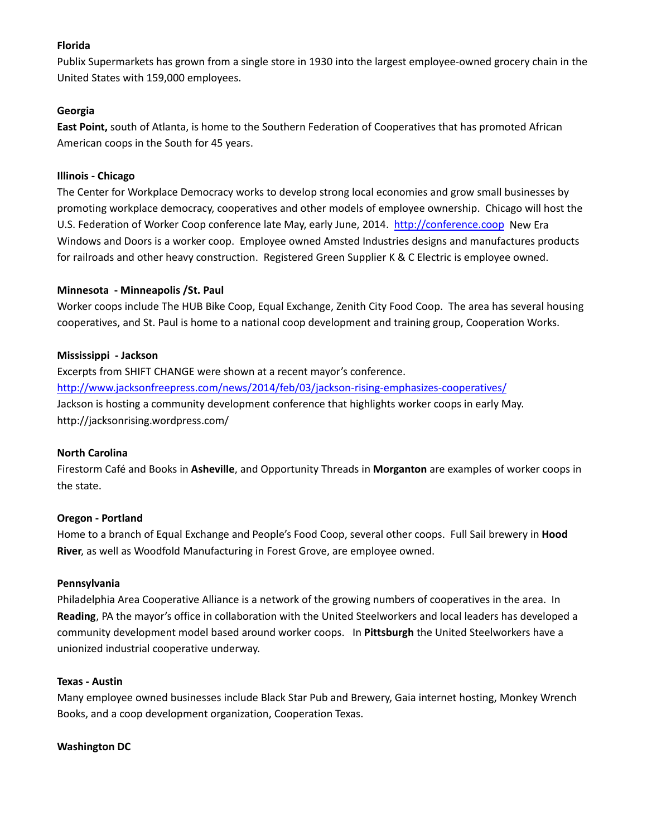## **Florida**

Publix Supermarkets has grown from a single store in 1930 into the largest employee‐owned grocery chain in the United States with 159,000 employees.

## **Georgia**

**East Point,** south of Atlanta, is home to the Southern Federation of Cooperatives that has promoted African American coops in the South for 45 years.

## **Illinois ‐ Chicago**

The Center for Workplace Democracy works to develop strong local economies and grow small businesses by promoting workplace democracy, cooperatives and other models of employee ownership. Chicago will host the U.S. Federation of Worker Coop conference late May, early June, 2014. http://conference.coop New Era Windows and Doors is a worker coop. Employee owned Amsted Industries designs and manufactures products for railroads and other heavy construction. Registered Green Supplier K & C Electric is employee owned.

## **Minnesota ‐ Minneapolis /St. Paul**

Worker coops include The HUB Bike Coop, Equal Exchange, Zenith City Food Coop. The area has several housing cooperatives, and St. Paul is home to a national coop development and training group, Cooperation Works.

## **Mississippi ‐ Jackson**

Excerpts from SHIFT CHANGE were shown at a recent mayor's conference. http://www.jacksonfreepress.com/news/2014/feb/03/jackson-rising-emphasizes-cooperatives/ Jackson is hosting a community development conference that highlights worker coops in early May. http://jacksonrising.wordpress.com/

### **North Carolina**

Firestorm Café and Books in **Asheville**, and Opportunity Threads in **Morganton** are examples of worker coops in the state.

### **Oregon ‐ Portland**

Home to a branch of Equal Exchange and People's Food Coop, several other coops. Full Sail brewery in **Hood River**, as well as Woodfold Manufacturing in Forest Grove, are employee owned.

### **Pennsylvania**

Philadelphia Area Cooperative Alliance is a network of the growing numbers of cooperatives in the area. In **Reading**, PA the mayor's office in collaboration with the United Steelworkers and local leaders has developed a community development model based around worker coops. In **Pittsburgh** the United Steelworkers have a unionized industrial cooperative underway.

### **Texas ‐ Austin**

Many employee owned businesses include Black Star Pub and Brewery, Gaia internet hosting, Monkey Wrench Books, and a coop development organization, Cooperation Texas.

## **Washington DC**